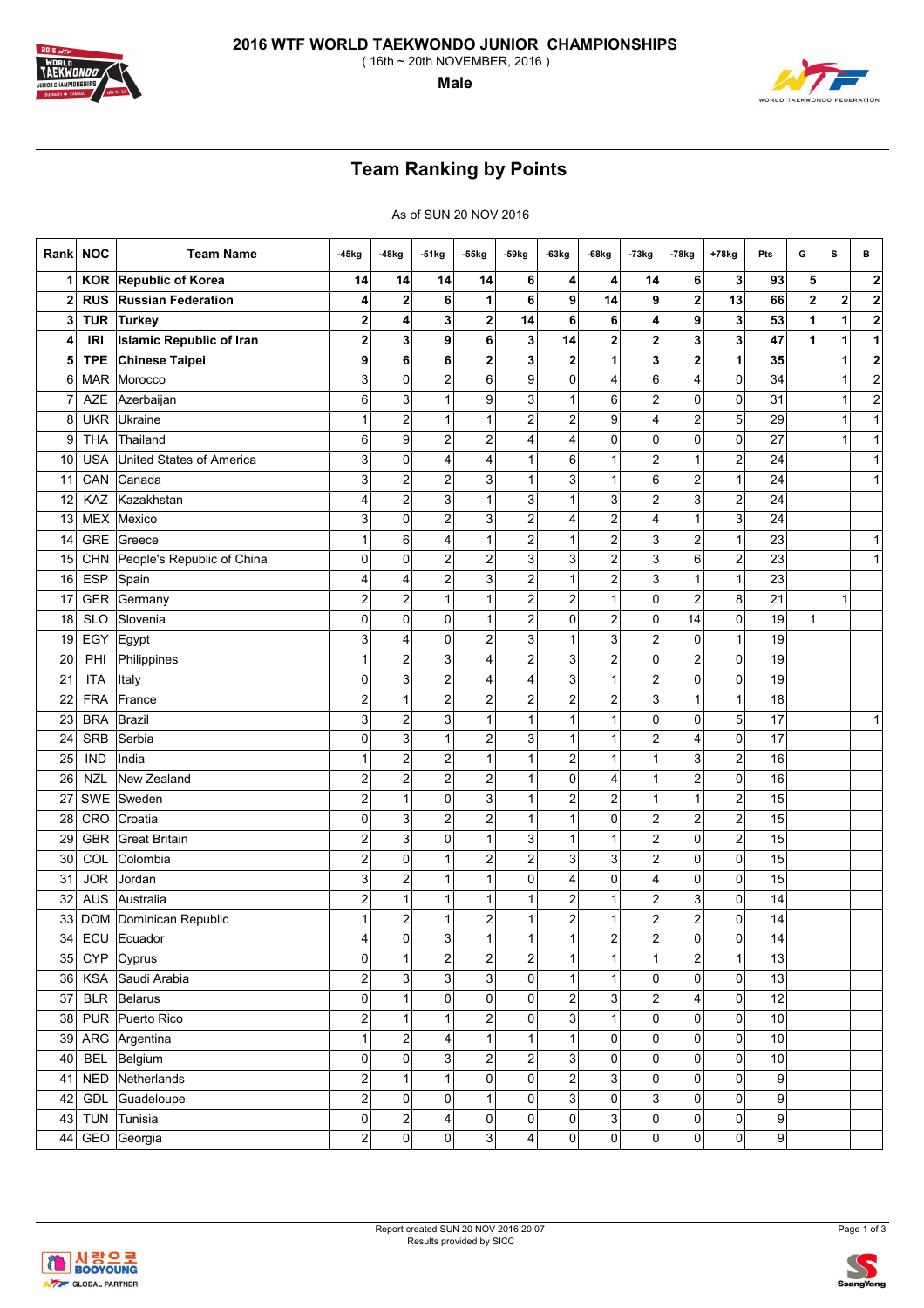

( 16th ~ 20th NOVEMBER, 2016 )

**Male**

## **Team Ranking by Points**

As of SUN 20 NOV 2016

| Rank         | <b>NOC</b> | <b>Team Name</b>                | -45kg                   | -48kg                     | -51kg                   | 55kg                    | -59kg            | -63kg                   | -68kg                   | -73kg                   | -78kg                   | +78kg                   | Pts            | G                       | s            | в                       |
|--------------|------------|---------------------------------|-------------------------|---------------------------|-------------------------|-------------------------|------------------|-------------------------|-------------------------|-------------------------|-------------------------|-------------------------|----------------|-------------------------|--------------|-------------------------|
|              | <b>KOR</b> | Republic of Korea               | 14                      | 14                        | 14                      | 14                      | 6                | 4                       | 4                       | 14                      | 6                       | 3                       | 93             | 5                       |              | 2                       |
| $\mathbf{2}$ | <b>RUS</b> | <b>Russian Federation</b>       | 4                       | $\overline{\mathbf{2}}$   | 6                       | 1                       | 6                | 9                       | 14                      | 9                       | 2                       | 13                      | 66             | $\overline{\mathbf{c}}$ | $\mathbf{2}$ | 2                       |
| 3            | <b>TUR</b> | Turkey                          | 2                       | 4                         | 3                       | 2                       | 14               | 6                       | 6                       | 4                       | 9                       | 3                       | 53             | 1                       | 1            | 2                       |
| 4            | <b>IRI</b> | <b>Islamic Republic of Iran</b> | 2                       | 3                         | 9                       | 6                       | 3 <sup>1</sup>   | 14                      | 2                       | 2                       | 3                       | 3                       | 47             | 1                       | 1            | 1                       |
| 5            | <b>TPE</b> | Chinese Taipei                  | 9                       | 6                         | 6                       | 2                       | 3                | 2                       | 1                       | 3                       | 2                       | 1                       | 35             |                         | 1            | 2                       |
| 6            | <b>MAR</b> | Morocco                         | 3                       | $\mathbf 0$               | $\overline{\mathbf{c}}$ | 6                       | 9                | 0                       | 4                       | 6                       | 4                       | 0                       | 34             |                         | 1            | $\overline{\mathbf{c}}$ |
|              | AZE        | Azerbaijan                      | 6                       | 3                         | 1                       | 9                       | 3                | 1                       | 6                       | $\overline{c}$          | 0                       | 0                       | 31             |                         | 1            | $\overline{\mathbf{c}}$ |
| 8            | <b>UKR</b> | Ukraine                         | 1                       | $\overline{c}$            | 1                       | $\mathbf{1}$            | $\overline{c}$   | 2                       | 9                       | 4                       | 2                       | 5                       | 29             |                         | 1            | 1                       |
| 9            | <b>THA</b> | Thailand                        | 6                       | 9                         | 2                       | $\overline{\mathbf{c}}$ | 4                | 4                       | 0                       | 0                       | 0                       | 0                       | 27             |                         | 1            | 1                       |
| 10           | <b>USA</b> | <b>United States of America</b> | 3                       | $\mathbf 0$               | 4                       | 4                       | 1                | 6                       | 1                       | $\overline{2}$          | 1                       | $\overline{\mathbf{c}}$ | 24             |                         |              | 1                       |
| 11           | CAN        | Canada                          | 3                       | $\overline{\mathbf{c}}$   | 2                       | 3                       | 1                | 3                       | 1                       | 6                       | 2                       | 1                       | 24             |                         |              | 1                       |
| 12           | KAZ        | Kazakhstan                      | 4                       | $\overline{c}$            | 3                       | 1                       | 3                | 1                       | 3                       | $\mathbf 2$             | $\overline{3}$          | $\overline{\mathbf{c}}$ | 24             |                         |              |                         |
| 13           | <b>MEX</b> | Mexico                          | 3                       | $\mathbf 0$               | 2                       | 3                       | $\boldsymbol{2}$ | 4                       | $\overline{\mathbf{c}}$ | 4                       | 1                       | 3                       | 24             |                         |              |                         |
| 14           | <b>GRE</b> | Greece                          | $\mathbf{1}$            | 6                         | 4                       | $\mathbf 1$             | $\overline{c}$   | 1                       | $\overline{\mathbf{c}}$ | 3                       | $\overline{\mathbf{c}}$ | $\mathbf{1}$            | 23             |                         |              | 1                       |
| 15           | <b>CHN</b> | People's Republic of China      | 0                       | $\mathbf 0$               | 2                       | $\overline{c}$          | 3                | 3                       | $\overline{\mathbf{c}}$ | 3                       | $6 \mid$                | $\overline{c}$          | 23             |                         |              | 1                       |
| 16           | <b>ESP</b> | Spain                           | 4                       | 4                         | 2                       | 3                       | $\boldsymbol{2}$ | 1                       | $\overline{c}$          | 3                       | 1                       | 1                       | 23             |                         |              |                         |
| 17           | <b>GER</b> | Germany                         | $\overline{\mathbf{c}}$ | $\overline{2}$            | 1                       | $\mathbf{1}$            | $\overline{c}$   | 2                       | 1                       | 0                       | 2                       | 8                       | 21             |                         | 1            |                         |
| 18           | <b>SLO</b> | Slovenia                        | 0                       | 0                         | 0                       | 1                       | $\overline{c}$   | 0                       | 2                       | 0                       | 14                      | 0                       | 19             | $\mathbf{1}$            |              |                         |
| 19           | EGY        | Egypt                           | 3                       | $\overline{4}$            | $\pmb{0}$               | $\overline{\mathbf{c}}$ | 3                | $\mathbf{1}$            | 3                       | $\mathbf 2$             | $\overline{0}$          | 1                       | 19             |                         |              |                         |
| 20           | PHI        | Philippines                     | 1                       | $\overline{\mathbf{c}}$   | 3                       | 4                       | $\overline{2}$   | 3                       | $\overline{\mathbf{c}}$ | 0                       | 2                       | 0                       | 19             |                         |              |                         |
| 21           | <b>ITA</b> | Italy                           | 0                       | 3                         | 2                       | 4                       | $\overline{4}$   | 3                       | 1                       | $\overline{c}$          | 0                       | 0                       | 19             |                         |              |                         |
| 22           | <b>FRA</b> | France                          | 2                       | 1                         | 2                       | $\overline{\mathbf{c}}$ | 2                | 2                       | $\overline{c}$          | 3                       | 1                       | 1                       | 18             |                         |              |                         |
| 23           | <b>BRA</b> | Brazil                          | 3                       | $\overline{c}$            | 3                       | 1                       | 1                | 1                       | 1                       | 0                       | 0                       | 5                       | 17             |                         |              | 1                       |
| 24           | <b>SRB</b> | Serbia                          | 0                       | 3                         | 1                       | 2                       | 3                | 1                       | 1                       | $\overline{2}$          | 4                       | 0                       | 17             |                         |              |                         |
| 25           | <b>IND</b> | India                           | 1                       | $\overline{\mathbf{c}}$   | 2                       | 1                       | 1                | 2                       | 1                       | $\mathbf{1}$            | $\overline{3}$          | $\overline{c}$          | 16             |                         |              |                         |
| 26           | <b>NZL</b> | New Zealand                     | $\overline{c}$          | $\overline{c}$            | 2                       | $\overline{\mathbf{c}}$ | 1                | 0                       | 4                       | $\mathbf{1}$            | 2                       | 0                       | 16             |                         |              |                         |
| 27           | SWE        | Sweden                          | $\overline{c}$          | $\overline{1}$            | 0                       | 3                       | $\overline{1}$   | $\overline{\mathbf{c}}$ | $\overline{\mathbf{c}}$ | $\mathbf{1}$            | $\mathbf{1}$            | $\boldsymbol{2}$        | 15             |                         |              |                         |
| 28           | CRO        | Croatia                         | 0                       | 3                         | $\overline{\mathbf{c}}$ | $\overline{c}$          | 1                | 1                       | 0                       | $\overline{\mathbf{c}}$ | 2                       | $\overline{c}$          | 15             |                         |              |                         |
| 29           | <b>GBR</b> | <b>Great Britain</b>            | 2                       | 3                         | 0                       | $\mathbf{1}$            | 3                | 1                       | 1                       | $\overline{\mathbf{c}}$ | 0                       | $\overline{\mathbf{c}}$ | 15             |                         |              |                         |
| 30           | COL        | Colombia                        | $\overline{\mathbf{c}}$ | 0                         | 1                       | $\overline{\mathbf{c}}$ | $\overline{c}$   | 3                       | 3                       | 2                       | $\overline{0}$          | 0                       | 15             |                         |              |                         |
| 31           | <b>JOR</b> | Jordan                          | 3                       | $\overline{2}$            | 1                       | $\mathbf{1}$            | 0                | 4                       | 0                       | 4                       | 0                       | 0                       | 15             |                         |              |                         |
| 32           | <b>AUS</b> | Australia                       | $\overline{\mathbf{c}}$ | $\mathbf 1$               | $\mathbf{1}$            | $\mathbf{1}$            | 1                | 2                       | 1                       | $\overline{\mathbf{c}}$ | $\mathbf{3}$            | 0                       | 14             |                         |              |                         |
| 33           |            | DOM Dominican Republic          | 1                       | $\overline{\mathbf{c}}$   | $\mathbf{1}$            | $\overline{\mathbf{c}}$ | 1                | 2                       | 1                       | $\overline{c}$          | 2                       | 0                       | 14             |                         |              |                         |
| 34           |            | ECU Ecuador                     | 4                       | 0                         | 3                       | 1                       | 1                |                         | $\overline{\mathbf{c}}$ | $\overline{\mathbf{c}}$ | $\overline{0}$          | $\overline{0}$          | 14             |                         |              |                         |
| 35           | <b>CYP</b> | Cyprus                          | 0                       | $\mathbf{1}$              | $\overline{\mathbf{c}}$ | $\overline{c}$          | $\overline{c}$   | $\mathbf{1}$            | $\mathbf{1}$            | $\mathbf{1}$            | $\overline{a}$          | $\mathbf{1}$            | 13             |                         |              |                         |
| 36           | <b>KSA</b> | Saudi Arabia                    | $\overline{\mathbf{c}}$ | $\ensuremath{\mathsf{3}}$ | 3                       | $\overline{3}$          | 0                | $\mathbf{1}$            | 1                       | $\mathbf 0$             | $\overline{0}$          | 0                       | 13             |                         |              |                         |
| 37           | <b>BLR</b> | Belarus                         | $\mathbf{0}$            | $\overline{1}$            | 0                       | $\mathsf{O}\xspace$     | 0                | $\overline{\mathbf{c}}$ | 3                       | 2                       | $\vert 4 \vert$         | 0                       | 12             |                         |              |                         |
| 38           |            | PUR Puerto Rico                 | $\mathbf{2}$            | $\mathbf{1}$              | 1                       | $\overline{c}$          | 0                | 3                       | $\mathbf{1}$            | $\mathbf 0$             | $\overline{0}$          | 0                       | $10$           |                         |              |                         |
| 39           |            | ARG Argentina                   | 1                       | $\boldsymbol{2}$          | 4                       | $\mathbf{1}$            | $\mathbf{1}$     | $\mathbf{1}$            | 0                       | $\overline{0}$          | $\overline{0}$          | 0                       | $10$           |                         |              |                         |
| 40           |            | BEL Belgium                     | $\mathbf{0}$            | $\pmb{0}$                 | 3                       | $\overline{c}$          | $\boldsymbol{2}$ | 3                       | 0                       | $\pmb{0}$               | $\overline{0}$          | 0                       | 10             |                         |              |                         |
| 41           | <b>NED</b> | Netherlands                     | $\overline{\mathbf{c}}$ | $\mathbf{1}$              | 1                       | $\overline{\mathbf{0}}$ | $\overline{0}$   | $\overline{c}$          | 3                       | $\mathbf 0$             | $\overline{0}$          | 0                       | 9              |                         |              |                         |
| 42           | GDL        | Guadeloupe                      | $\overline{2}$          | $\mathbf 0$               | 0                       | $\mathbf{1}$            | 0                | 3                       | 0                       | 3 <sup>1</sup>          | $\overline{0}$          | 0                       | 9              |                         |              |                         |
| 43           | <b>TUN</b> | Tunisia                         | 0                       | $\overline{\mathbf{c}}$   | 4                       | 0                       | 0                | 0                       | 3                       | $\pmb{0}$               | $\overline{0}$          | 0                       | 9              |                         |              |                         |
| 44           | GEO        | Georgia                         | $\overline{\mathbf{c}}$ | $\pmb{0}$                 | 0                       | $\overline{3}$          | 4                | 0                       | 0                       | 0                       | $\overline{0}$          | $\overline{0}$          | $\overline{9}$ |                         |              |                         |



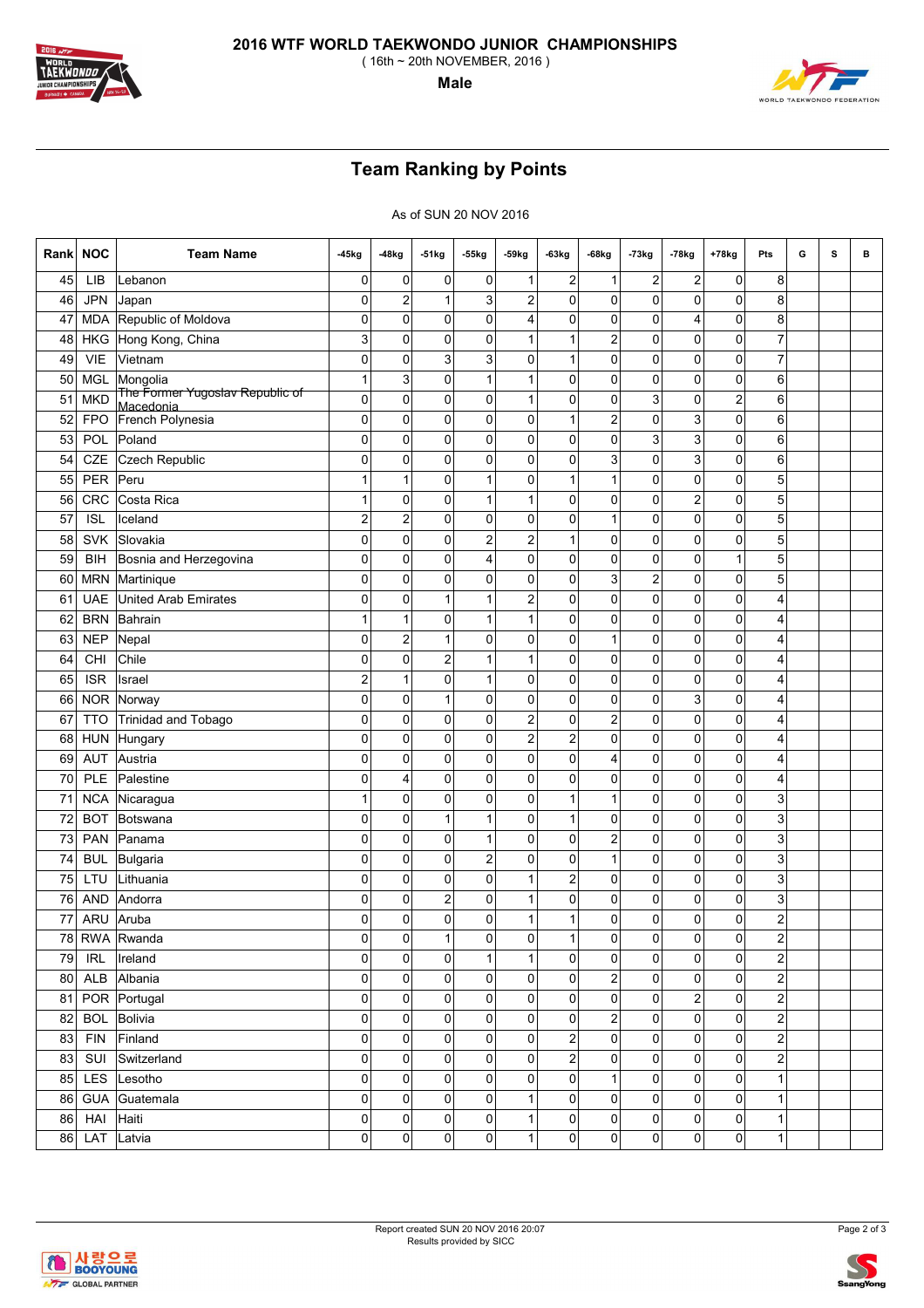

( 16th ~ 20th NOVEMBER, 2016 )

**Male**

## **Team Ranking by Points**

As of SUN 20 NOV 2016

| Rank | <b>NOC</b> | <b>Team Name</b>                             | -45kg          | -48kg                   | -51kg        | 55kg                    | -59kg            | $-63kg$        | $-68kg$                 | $-73kg$          | $-78kg$        | +78kg                   | Pts                     | G | s | в |
|------|------------|----------------------------------------------|----------------|-------------------------|--------------|-------------------------|------------------|----------------|-------------------------|------------------|----------------|-------------------------|-------------------------|---|---|---|
| 45   | LIB        | Lebanon                                      | 0              | 0                       | 0            | 0                       | 1                | 2              | 1                       | 2                | 2              | 0                       | 8                       |   |   |   |
| 46   | <b>JPN</b> | Japan                                        | 0              | $\overline{c}$          | $\mathbf{1}$ | 3                       | $\boldsymbol{2}$ | 0              | 0                       | 0                | 0              | 0                       | 8                       |   |   |   |
| 47   | <b>MDA</b> | Republic of Moldova                          | 0              | 0                       | 0            | 0                       | 4                | 0              | 0                       | 0                | 4              | 0                       | 8                       |   |   |   |
| 48   | <b>HKG</b> | Hong Kong, China                             | 3              | 0                       | 0            | 0                       | $\mathbf{1}$     | 1              | 2                       | 0                | 0              | 0                       | $\overline{7}$          |   |   |   |
| 49   | VIE        | Vietnam                                      | 0              | 0                       | 3            | 3                       | 0                | 1              | 0                       | 0                | 0              | 0                       | 7                       |   |   |   |
| 50   | MGL        | Mongolia                                     | 1              | 3                       | 0            | 1                       | 1                | 0              | 0                       | 0                | 0              | 0                       | 6                       |   |   |   |
| 51   | <b>MKD</b> | The Former Yugoslav Republic of<br>Macedonia | 0              | $\pmb{0}$               | 0            | 0                       | 1                | 0              | 0                       | 3                | 0              | $\overline{\mathbf{c}}$ | 6                       |   |   |   |
| 52   | <b>FPO</b> | French Polynesia                             | 0              | 0                       | 0            | 0                       | 0                | $\mathbf{1}$   | 2                       | 0                | 3              | 0                       | 6                       |   |   |   |
| 53   | <b>POL</b> | Poland                                       | 0              | $\mathbf 0$             | $\mathbf 0$  | 0                       | 0                | 0              | 0                       | 3                | 3              | 0                       | 6                       |   |   |   |
| 54   | CZE        | Czech Republic                               | 0              | $\mathbf 0$             | 0            | 0                       | 0                | 0              | 3                       | 0                | 3              | 0                       | 6                       |   |   |   |
| 55   | PER        | Peru                                         | 1              | 1                       | 0            | $\mathbf{1}$            | 0                | 1              | 1                       | 0                | 0              | 0                       | 5                       |   |   |   |
| 56   | <b>CRC</b> | Costa Rica                                   | 1              | 0                       | 0            | 1                       | 1                | 0              | 0                       | 0                | 2              | 0                       | 5                       |   |   |   |
| 57   | <b>ISL</b> | Iceland                                      | 2              | $\boldsymbol{2}$        | 0            | 0                       | 0                | 0              | 1                       | 0                | 0              | 0                       | 5                       |   |   |   |
| 58   | <b>SVK</b> | Slovakia                                     | 0              | $\mathbf 0$             | 0            | $\overline{c}$          | $\overline{2}$   | $\mathbf{1}$   | 0                       | 0                | 0              | 0                       | 5                       |   |   |   |
| 59   | <b>BIH</b> | Bosnia and Herzegovina                       | 0              | 0                       | 0            | 4                       | 0                | 0              | 0                       | 0                | 0              | 1                       | 5                       |   |   |   |
| 60   | <b>MRN</b> | Martinique                                   | 0              | $\pmb{0}$               | 0            | 0                       | 0                | 0              | 3                       | $\boldsymbol{2}$ | 0              | 0                       | 5                       |   |   |   |
| 61   | <b>UAE</b> | United Arab Emirates                         | 0              | 0                       | $\mathbf{1}$ | 1                       | $\boldsymbol{2}$ | 0              | 0                       | 0                | 0              | 0                       | 4                       |   |   |   |
| 62   | <b>BRN</b> | Bahrain                                      | 1              | $\overline{1}$          | 0            | $\mathbf{1}$            | $\mathbf{1}$     | 0              | 0                       | 0                | 0              | 0                       | 4                       |   |   |   |
| 63   | <b>NEP</b> | Nepal                                        | 0              | $\overline{\mathbf{c}}$ | $\mathbf{1}$ | 0                       | 0                | 0              | 1                       | 0                | 0              | 0                       | 4                       |   |   |   |
| 64   | CHI        | Chile                                        | 0              | 0                       | 2            | 1                       | 1                | 0              | 0                       | 0                | 0              | 0                       | 4                       |   |   |   |
| 65   | <b>ISR</b> | Israel                                       | $\overline{c}$ | $\overline{1}$          | 0            | $\mathbf{1}$            | 0                | 0              | 0                       | 0                | 0              | 0                       | 4                       |   |   |   |
| 66   | <b>NOR</b> | Norway                                       | 0              | 0                       | $\mathbf{1}$ | 0                       | 0                | 0              | 0                       | 0                | 3              | 0                       | 4                       |   |   |   |
| 67   | <b>TTO</b> | <b>Trinidad and Tobago</b>                   | 0              | $\mathbf 0$             | 0            | 0                       | $\overline{c}$   | 0              | $\overline{c}$          | 0                | 0              | 0                       | 4                       |   |   |   |
| 68   | <b>HUN</b> | Hungary                                      | 0              | 0                       | 0            | 0                       | $\overline{2}$   | 2              | 0                       | 0                | 0              | 0                       | 4                       |   |   |   |
| 69   | <b>AUT</b> | Austria                                      | 0              | $\mathbf 0$             | 0            | 0                       | 0                | 0              | 4                       | 0                | 0              | 0                       | 4                       |   |   |   |
| 70   | PLE        | Palestine                                    | 0              | 4                       | 0            | 0                       | 0                | 0              | 0                       | 0                | 0              | 0                       | 4                       |   |   |   |
| 71   | <b>NCA</b> | Nicaragua                                    | 1              | 0                       | 0            | 0                       | 0                | 1              | 1                       | 0                | 0              | 0                       | 3                       |   |   |   |
| 72   | <b>BOT</b> | Botswana                                     | 0              | $\mathbf 0$             | $\mathbf{1}$ | $\mathbf{1}$            | 0                | $\mathbf{1}$   | 0                       | 0                | 0              | 0                       | 3                       |   |   |   |
| 73   | <b>PAN</b> | Panama                                       | 0              | 0                       | 0            | 1                       | 0                | 0              | 2                       | 0                | 0              | 0                       | 3                       |   |   |   |
| 74   | <b>BUL</b> | Bulgaria                                     | 0              | $\pmb{0}$               | 0            | $\overline{\mathbf{c}}$ | 0                | 0              | 1                       | 0                | 0              | 0                       | 3                       |   |   |   |
| 75   | LTU        | Lithuania                                    | 0              | 0                       | 0            | 0                       | 1                | $\overline{2}$ | 0                       | 0                | 0              | 0                       | 3                       |   |   |   |
| 76   | <b>AND</b> | Andorra                                      | 0              | 0                       | 2            | 0                       | 1                | 0              | 0                       | 0                | 0              | 0                       | 3                       |   |   |   |
| 77   | ARU        | Aruba                                        | 0              | 0                       | 0            | 0                       | 1                | $\mathbf{1}$   | 0                       | 0                | 0              | 0                       | $\overline{c}$          |   |   |   |
|      |            | 78 RWA Rwanda                                | $\sigma$       | $\mathbf{0}$            | 1            | 0                       | υl               | 1              | 0                       | 0                | $\sigma$       | $\cup$                  | $\mathbf{z}$            |   |   |   |
| 79   | <b>IRL</b> | Ireland                                      | $\overline{0}$ | $\mathsf{O}\xspace$     | $\pmb{0}$    | $\overline{1}$          | $\mathbf{1}$     | 0              | $\overline{\textbf{0}}$ | $\pmb{0}$        | $\pmb{0}$      | $\mathbf 0$             | $\mathbf 2$             |   |   |   |
| 80   | ALB        | Albania                                      | $\overline{0}$ | $\pmb{0}$               | 0            | $\mathsf 0$             | 0                | 0              | $\overline{\mathbf{c}}$ | 0                | $\overline{0}$ | 0                       | $\boldsymbol{2}$        |   |   |   |
| 81   |            | POR Portugal                                 | $\mathbf{0}$   | $\pmb{0}$               | $\pmb{0}$    | $\pmb{0}$               | 0                | 0              | $\pmb{0}$               | $\mathbf 0$      | $\overline{2}$ | $\pmb{0}$               | $\boldsymbol{2}$        |   |   |   |
| 82   | <b>BOL</b> | Bolivia                                      | 0              | $\pmb{0}$               | 0            | 0                       | 0                | 0              | $\overline{c}$          | 0                | $\overline{0}$ | 0                       | $\boldsymbol{2}$        |   |   |   |
| 83   | <b>FIN</b> | Finland                                      | $\mathbf{0}$   | $\mathbf 0$             | 0            | $\mathsf 0$             | 0                | $\overline{c}$ | $\mathsf 0$             | $\mathbf 0$      | $\overline{0}$ | 0                       | 2                       |   |   |   |
| 83   | SUI        | Switzerland                                  | 0              | $\pmb{0}$               | 0            | 0                       | 0                | $\overline{c}$ | $\pmb{0}$               | $\mathbf 0$      | $\overline{0}$ | 0                       | $\overline{\mathbf{c}}$ |   |   |   |
| 85   | LES        | Lesotho                                      | $\overline{0}$ | $\mathbf 0$             | 0            | $\pmb{0}$               | 0                | $\mathbf 0$    | 1                       | $\mathbf 0$      | $\overline{0}$ | 0                       | 1                       |   |   |   |
| 86   | <b>GUA</b> | Guatemala                                    | $\overline{0}$ | $\mathbf 0$             | $\pmb{0}$    | 0                       | $\mathbf{1}$     | $\pmb{0}$      | $\pmb{0}$               | $\mathbf 0$      | $\overline{0}$ | 0                       | 1                       |   |   |   |
| 86   | HAI        | Haiti                                        | 0              | $\pmb{0}$               | 0            | 0                       | $\mathbf{1}$     | 0              | $\pmb{0}$               | 0                | $\overline{0}$ | 0                       | 1                       |   |   |   |
| 86   | LAT        | Latvia                                       | $\overline{0}$ | $\pmb{0}$               | $\pmb{0}$    | 0                       | $\mathbf{1}$     | 0              | 0                       | $\pmb{0}$        | $\overline{0}$ | $\boldsymbol{0}$        | $\mathbf{1}$            |   |   |   |